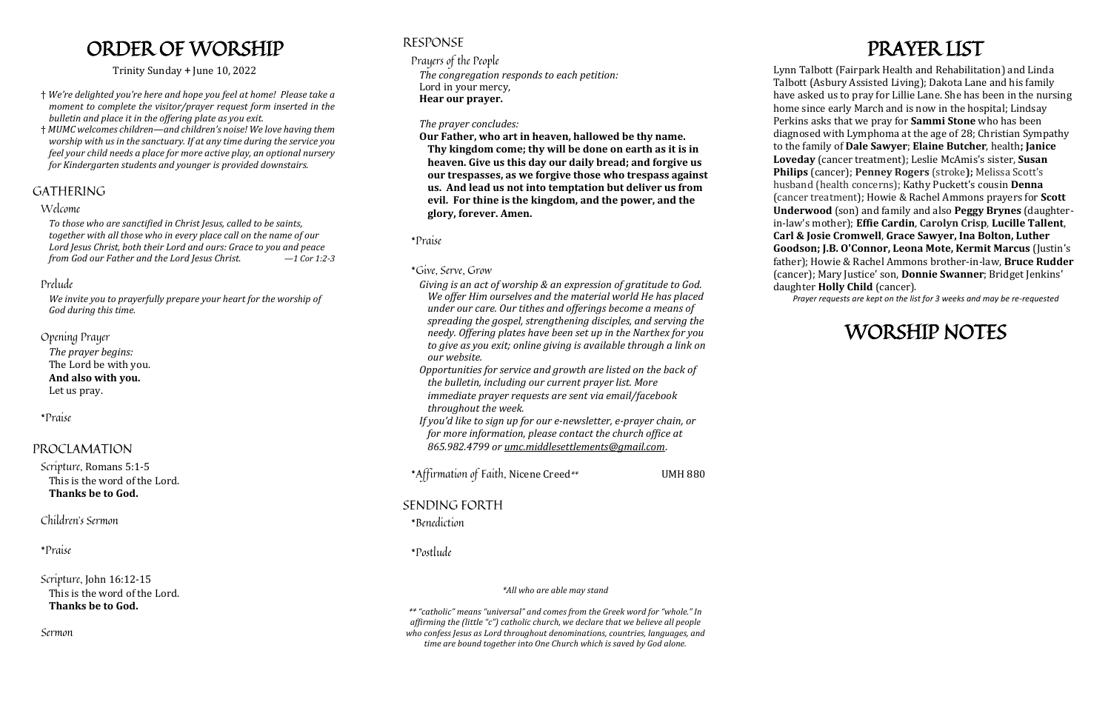## ORDER OF WORSHIP

#### Trinity Sunday + June 10, 2022

- † *We're delighted you're here and hope you feel at home! Please take a moment to complete the visitor/prayer request form inserted in the bulletin and place it in the offering plate as you exit.*
- † *MUMC welcomes children—and children's noise! We love having them worship with us in the sanctuary. If at any time during the service you feel your child needs a place for more active play, an optional nursery for Kindergarten students and younger is provided downstairs.*

## GATHERING

## Welcome

*To those who are sanctified in Christ Jesus, called to be saints, together with all those who in every place call on the name of our Lord Jesus Christ, both their Lord and ours: Grace to you and peace from God our Father and the Lord Jesus Christ. —1 Cor 1:2-3*

## Prelude

*We invite you to prayerfully prepare your heart for the worship of God during this time.*

## Opening Prayer

*The prayer begins:* The Lord be with you. **And also with you.** Let us pray.

## \*Praise

## PROCLAMATION

Scripture, Romans 5:1-5 This is the word of the Lord. **Thanks be to God.**

Children's Sermon

\*Praise

Scripture, John 16:12-15 This is the word of the Lord. **Thanks be to God.**

Sermon

## RESPONSE

Prayers of the People *The congregation responds to each petition:* Lord in your mercy, **Hear our prayer.**

### *The prayer concludes:*

**Our Father, who art in heaven, hallowed be thy name. Thy kingdom come; thy will be done on earth as it is in heaven. Give us this day our daily bread; and forgive us our trespasses, as we forgive those who trespass against us. And lead us not into temptation but deliver us from evil. For thine is the kingdom, and the power, and the glory, forever. Amen.** 

\*Praise

## \*Give, Serve, Grow

*Giving is an act of worship & an expression of gratitude to God. We offer Him ourselves and the material world He has placed under our care. Our tithes and offerings become a means of spreading the gospel, strengthening disciples, and serving the needy. Offering plates have been set up in the Narthex for you to give as you exit; online giving is available through a link on our website.*

- *Opportunities for service and growth are listed on the back of the bulletin, including our current prayer list. More immediate prayer requests are sent via email/facebook throughout the week.*
- *If you'd like to sign up for our e-newsletter, e-prayer chain, or for more information, please contact the church office at 865.982.4799 or [umc.middlesettlements@gmail.com](mailto:umc.middlesettlements@gmail.com)*.

\*Affirmation of Faith, Nicene Creed*\*\** UMH 880

SENDING FORTH

\*Benediction

\*Postlude

*\*All who are able may stand*

*\*\* "catholic" means "universal" and comes from the Greek word for "whole." In affirming the (little "c") catholic church, we declare that we believe all people who confess Jesus as Lord throughout denominations, countries, languages, and time are bound together into One Church which is saved by God alone.*

## PRAYER LIST

Lynn Talbott (Fairpark Health and Rehabilitation) and Linda Talbott (Asbury Assisted Living); Dakota Lane and his family have asked us to pray for Lillie Lane. She has been in the nursing home since early March and is now in the hospital; Lindsay Perkins asks that we pray for **Sammi Stone** who has been diagnosed with Lymphoma at the age of 28; Christian Sympathy to the family of **Dale Sawyer**; **Elaine Butcher**, health**; Janice Loveday** (cancer treatment); Leslie McAmis's sister, **Susan Philips** (cancer); **Penney Rogers** (stroke**);** Melissa Scott's husband (health concerns); Kathy Puckett's cousin **Denna**  (cancer treatment); Howie & Rachel Ammons prayers for **Scott Underwood** (son) and family and also **Peggy Brynes** (daughterin-law's mother); **Effie Cardin**, **Carolyn Crisp**, **Lucille Tallent**, **Carl & Josie Cromwell**, **Grace Sawyer, Ina Bolton, Luther Goodson; J.B. O'Connor, Leona Mote, Kermit Marcus** (Justin's father); Howie & Rachel Ammons brother-in-law, **Bruce Rudder** (cancer); Mary Justice' son, **Donnie Swanner**; Bridget Jenkins' daughter **Holly Child** (cancer).

*Prayer requests are kept on the list for 3 weeks and may be re-requested*

## WORSHIP NOTES